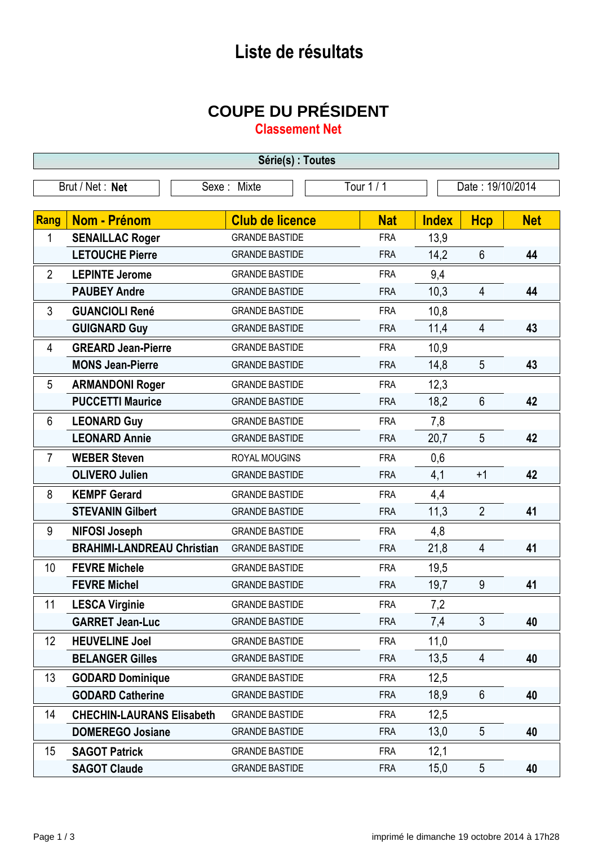## **Liste de résultats**

## **COUPE DU PRÉSIDENT**

**Classement Net**

| Série(s) : Toutes |                                   |                        |            |                  |                 |            |
|-------------------|-----------------------------------|------------------------|------------|------------------|-----------------|------------|
| Brut / Net: Net   |                                   | Sexe: Mixte            | Tour $1/1$ | Date: 19/10/2014 |                 |            |
|                   |                                   |                        |            |                  |                 |            |
| Rang              | <b>Nom - Prénom</b>               | <b>Club de licence</b> | <b>Nat</b> | <b>Index</b>     | <b>Hcp</b>      | <b>Net</b> |
| 1                 | <b>SENAILLAC Roger</b>            | <b>GRANDE BASTIDE</b>  | <b>FRA</b> | 13,9             |                 |            |
|                   | <b>LETOUCHE Pierre</b>            | <b>GRANDE BASTIDE</b>  | <b>FRA</b> | 14,2             | $6\phantom{1}$  | 44         |
| $\overline{2}$    | <b>LEPINTE Jerome</b>             | <b>GRANDE BASTIDE</b>  | <b>FRA</b> | 9,4              |                 |            |
|                   | <b>PAUBEY Andre</b>               | <b>GRANDE BASTIDE</b>  | <b>FRA</b> | 10,3             | $\overline{4}$  | 44         |
| 3                 | <b>GUANCIOLI René</b>             | <b>GRANDE BASTIDE</b>  | <b>FRA</b> | 10,8             |                 |            |
|                   | <b>GUIGNARD Guy</b>               | <b>GRANDE BASTIDE</b>  | <b>FRA</b> | 11,4             | $\overline{4}$  | 43         |
| 4                 | <b>GREARD Jean-Pierre</b>         | <b>GRANDE BASTIDE</b>  | <b>FRA</b> | 10,9             |                 |            |
|                   | <b>MONS Jean-Pierre</b>           | <b>GRANDE BASTIDE</b>  | <b>FRA</b> | 14,8             | 5               | 43         |
| 5                 | <b>ARMANDONI Roger</b>            | <b>GRANDE BASTIDE</b>  | <b>FRA</b> | 12,3             |                 |            |
|                   | <b>PUCCETTI Maurice</b>           | <b>GRANDE BASTIDE</b>  | <b>FRA</b> | 18,2             | $6\phantom{1}$  | 42         |
| 6                 | <b>LEONARD Guy</b>                | <b>GRANDE BASTIDE</b>  | <b>FRA</b> | 7,8              |                 |            |
|                   | <b>LEONARD Annie</b>              | <b>GRANDE BASTIDE</b>  | <b>FRA</b> | 20,7             | 5               | 42         |
| $\overline{7}$    | <b>WEBER Steven</b>               | <b>ROYAL MOUGINS</b>   | <b>FRA</b> | 0,6              |                 |            |
|                   | <b>OLIVERO Julien</b>             | <b>GRANDE BASTIDE</b>  | <b>FRA</b> | 4,1              | $+1$            | 42         |
| 8                 | <b>KEMPF Gerard</b>               | <b>GRANDE BASTIDE</b>  | <b>FRA</b> | 4,4              |                 |            |
|                   | <b>STEVANIN Gilbert</b>           | <b>GRANDE BASTIDE</b>  | <b>FRA</b> | 11,3             | $\overline{2}$  | 41         |
| 9                 | <b>NIFOSI Joseph</b>              | <b>GRANDE BASTIDE</b>  | <b>FRA</b> | 4,8              |                 |            |
|                   | <b>BRAHIMI-LANDREAU Christian</b> | <b>GRANDE BASTIDE</b>  | <b>FRA</b> | 21,8             | $\overline{4}$  | 41         |
| 10                | <b>FEVRE Michele</b>              | <b>GRANDE BASTIDE</b>  | <b>FRA</b> | 19,5             |                 |            |
|                   | <b>FEVRE Michel</b>               | <b>GRANDE BASTIDE</b>  | <b>FRA</b> | 19,7             | 9               | 41         |
| 11                | <b>LESCA Virginie</b>             | <b>GRANDE BASTIDE</b>  | <b>FRA</b> | 7,2              |                 |            |
|                   | <b>GARRET Jean-Luc</b>            | <b>GRANDE BASTIDE</b>  | <b>FRA</b> | 7,4              | 3 <sup>1</sup>  | 40         |
| 12                | <b>HEUVELINE Joel</b>             | <b>GRANDE BASTIDE</b>  | <b>FRA</b> | 11,0             |                 |            |
|                   | <b>BELANGER Gilles</b>            | <b>GRANDE BASTIDE</b>  | <b>FRA</b> | 13,5             | $\overline{4}$  | 40         |
| 13                | <b>GODARD Dominique</b>           | <b>GRANDE BASTIDE</b>  | <b>FRA</b> | 12,5             |                 |            |
|                   | <b>GODARD Catherine</b>           | <b>GRANDE BASTIDE</b>  | <b>FRA</b> | 18,9             | $6\phantom{.}6$ | 40         |
| 14                | <b>CHECHIN-LAURANS Elisabeth</b>  | <b>GRANDE BASTIDE</b>  | <b>FRA</b> | 12,5             |                 |            |
|                   | <b>DOMEREGO Josiane</b>           | <b>GRANDE BASTIDE</b>  | <b>FRA</b> | 13,0             | 5               | 40         |
| 15                | <b>SAGOT Patrick</b>              | <b>GRANDE BASTIDE</b>  | <b>FRA</b> | 12,1             |                 |            |
|                   | <b>SAGOT Claude</b>               | <b>GRANDE BASTIDE</b>  | <b>FRA</b> | 15,0             | 5               | 40         |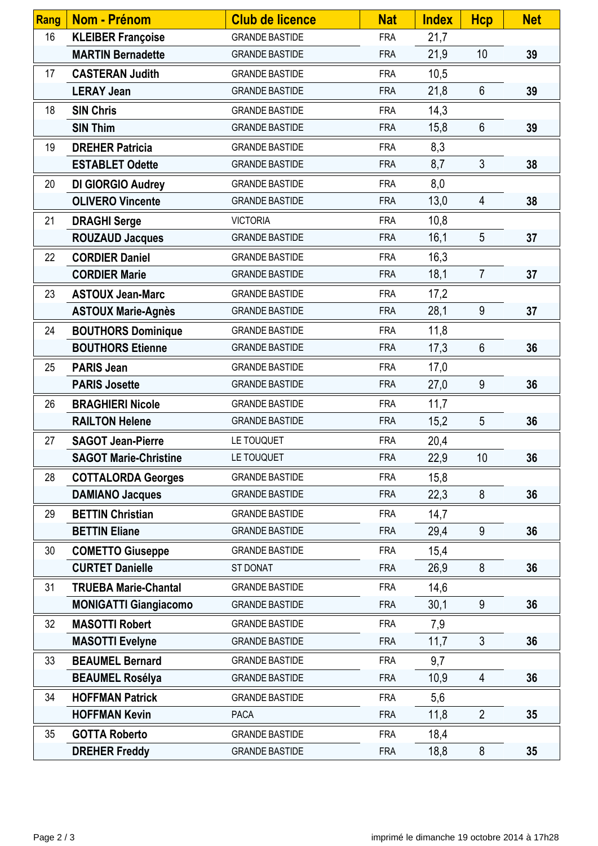| Rang | Nom - Prénom                 | <b>Club de licence</b> | <b>Nat</b> | <b>Index</b> | <b>Hcp</b>      | <b>Net</b> |
|------|------------------------------|------------------------|------------|--------------|-----------------|------------|
| 16   | <b>KLEIBER Françoise</b>     | <b>GRANDE BASTIDE</b>  | <b>FRA</b> | 21,7         |                 |            |
|      | <b>MARTIN Bernadette</b>     | <b>GRANDE BASTIDE</b>  | <b>FRA</b> | 21,9         | 10              | 39         |
| 17   | <b>CASTERAN Judith</b>       | <b>GRANDE BASTIDE</b>  | <b>FRA</b> | 10,5         |                 |            |
|      | <b>LERAY Jean</b>            | <b>GRANDE BASTIDE</b>  | <b>FRA</b> | 21,8         | $6\phantom{1}6$ | 39         |
| 18   | <b>SIN Chris</b>             | <b>GRANDE BASTIDE</b>  | <b>FRA</b> | 14,3         |                 |            |
|      | <b>SIN Thim</b>              | <b>GRANDE BASTIDE</b>  | <b>FRA</b> | 15,8         | $6\phantom{1}$  | 39         |
| 19   | <b>DREHER Patricia</b>       | <b>GRANDE BASTIDE</b>  | <b>FRA</b> | 8,3          |                 |            |
|      | <b>ESTABLET Odette</b>       | <b>GRANDE BASTIDE</b>  | <b>FRA</b> | 8,7          | 3               | 38         |
| 20   | DI GIORGIO Audrey            | <b>GRANDE BASTIDE</b>  | <b>FRA</b> | 8,0          |                 |            |
|      | <b>OLIVERO Vincente</b>      | <b>GRANDE BASTIDE</b>  | <b>FRA</b> | 13,0         | $\overline{4}$  | 38         |
| 21   | <b>DRAGHI Serge</b>          | <b>VICTORIA</b>        | <b>FRA</b> | 10,8         |                 |            |
|      | <b>ROUZAUD Jacques</b>       | <b>GRANDE BASTIDE</b>  | <b>FRA</b> | 16,1         | 5               | 37         |
| 22   | <b>CORDIER Daniel</b>        | <b>GRANDE BASTIDE</b>  | <b>FRA</b> | 16,3         |                 |            |
|      | <b>CORDIER Marie</b>         | <b>GRANDE BASTIDE</b>  | <b>FRA</b> | 18,1         | $\overline{7}$  | 37         |
| 23   | <b>ASTOUX Jean-Marc</b>      | <b>GRANDE BASTIDE</b>  | <b>FRA</b> | 17,2         |                 |            |
|      | <b>ASTOUX Marie-Agnès</b>    | <b>GRANDE BASTIDE</b>  | <b>FRA</b> | 28,1         | $9\,$           | 37         |
| 24   | <b>BOUTHORS Dominique</b>    | <b>GRANDE BASTIDE</b>  | <b>FRA</b> | 11,8         |                 |            |
|      | <b>BOUTHORS Etienne</b>      | <b>GRANDE BASTIDE</b>  | <b>FRA</b> | 17,3         | $6\phantom{1}$  | 36         |
| 25   | <b>PARIS Jean</b>            | <b>GRANDE BASTIDE</b>  | <b>FRA</b> | 17,0         |                 |            |
|      | <b>PARIS Josette</b>         | <b>GRANDE BASTIDE</b>  | <b>FRA</b> | 27,0         | 9               | 36         |
| 26   | <b>BRAGHIERI Nicole</b>      | <b>GRANDE BASTIDE</b>  | <b>FRA</b> | 11,7         |                 |            |
|      | <b>RAILTON Helene</b>        | <b>GRANDE BASTIDE</b>  | <b>FRA</b> | 15,2         | 5               | 36         |
| 27   | <b>SAGOT Jean-Pierre</b>     | LE TOUQUET             | <b>FRA</b> | 20,4         |                 |            |
|      | <b>SAGOT Marie-Christine</b> | LE TOUQUET             | <b>FRA</b> | 22,9         | 10 <sup>°</sup> | 36         |
| 28   | <b>COTTALORDA Georges</b>    | <b>GRANDE BASTIDE</b>  | <b>FRA</b> | 15,8         |                 |            |
|      | <b>DAMIANO Jacques</b>       | <b>GRANDE BASTIDE</b>  | <b>FRA</b> | 22,3         | 8               | 36         |
| 29   | <b>BETTIN Christian</b>      | <b>GRANDE BASTIDE</b>  | <b>FRA</b> | 14,7         |                 |            |
|      | <b>BETTIN Eliane</b>         | <b>GRANDE BASTIDE</b>  | <b>FRA</b> | 29,4         | 9               | 36         |
| 30   | <b>COMETTO Giuseppe</b>      | <b>GRANDE BASTIDE</b>  | <b>FRA</b> | 15,4         |                 |            |
|      | <b>CURTET Danielle</b>       | ST DONAT               | <b>FRA</b> | 26,9         | 8               | 36         |
| 31   | <b>TRUEBA Marie-Chantal</b>  | <b>GRANDE BASTIDE</b>  | <b>FRA</b> | 14,6         |                 |            |
|      | <b>MONIGATTI Giangiacomo</b> | <b>GRANDE BASTIDE</b>  | <b>FRA</b> | 30,1         | 9               | 36         |
| 32   | <b>MASOTTI Robert</b>        | <b>GRANDE BASTIDE</b>  | <b>FRA</b> | 7,9          |                 |            |
|      | <b>MASOTTI Evelyne</b>       | <b>GRANDE BASTIDE</b>  | <b>FRA</b> | 11,7         | $\mathfrak{Z}$  | 36         |
| 33   | <b>BEAUMEL Bernard</b>       | <b>GRANDE BASTIDE</b>  | <b>FRA</b> | 9,7          |                 |            |
|      | <b>BEAUMEL Rosélya</b>       | <b>GRANDE BASTIDE</b>  | <b>FRA</b> | 10,9         | $\overline{4}$  | 36         |
| 34   | <b>HOFFMAN Patrick</b>       | <b>GRANDE BASTIDE</b>  | <b>FRA</b> | 5,6          |                 |            |
|      | <b>HOFFMAN Kevin</b>         | <b>PACA</b>            | <b>FRA</b> | 11,8         | $\overline{2}$  | 35         |
| 35   | <b>GOTTA Roberto</b>         | <b>GRANDE BASTIDE</b>  | <b>FRA</b> | 18,4         |                 |            |
|      | <b>DREHER Freddy</b>         | <b>GRANDE BASTIDE</b>  | <b>FRA</b> | 18,8         | 8               | 35         |